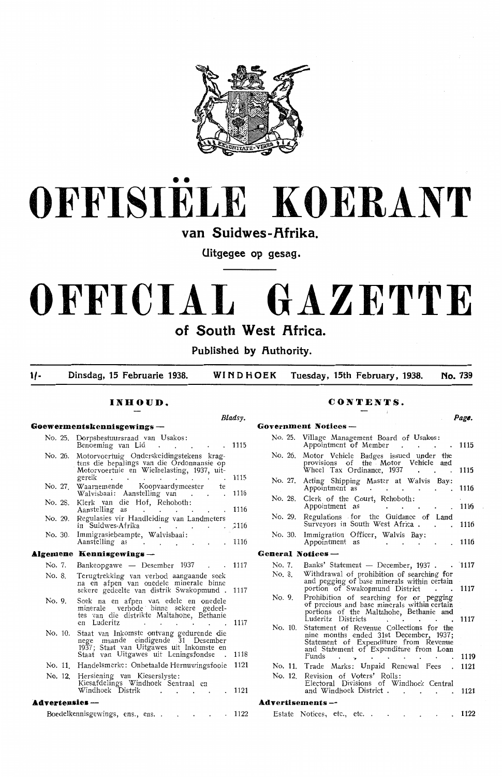

# •• **OFFISIELE KOERANT**

van Suidwes-Afrika.

**Uitgegee op gesag.** 

# **OFFICIAL GAZETTE**  of South West Africa.

Published by **Authority**.

**1/- Dinsdag, 15 Februarie 1938. WINDHOEK Tuesday, 15th February, 1938. No. 739** 

## **Goewermentskennisgewings -- Goodwings**

| No. 25.               | Dorpsbestuursraad van Usakos:<br>Benoeming van Lid                                                                                                                                 | 1115 |
|-----------------------|------------------------------------------------------------------------------------------------------------------------------------------------------------------------------------|------|
| No. 26.               | Motorvoertuig Onderskeidingstekens krag-<br>tens die bepalings van die Ordonnansie op<br>Motorvoertuie en Wielbelasting, 1937, uit-<br>gereik<br>and the company of the company of | 1115 |
| No. 27                | Waarnemende Koopvaardymeester te<br>Walvisbaai: Aanstelling van .<br>$\cdot$                                                                                                       | 1116 |
| No. 28.               | Klerk van die Hof, Rehoboth:<br>Aanstelling as<br>and the state of the state of the                                                                                                | 1116 |
| No. 29.               | Regulasies vir Handleiding van Landmeters<br>in Suidwes-Afrika<br><b>Contract Contract</b>                                                                                         | 2116 |
| No. 30.               | Immigrasiebeampte, Walvisbaai:<br>Aanstelling as<br>the contract of the contract of                                                                                                | 1116 |
|                       | Algemene Kennisgewings —                                                                                                                                                           |      |
| No. 7.                | Bankeopgawe - Desember 1937                                                                                                                                                        | 1117 |
| No. 8.                | Terugtrekking van verbod aangaande soek<br>na en afpen van onedele minerale binne<br>sekere gedeelte van distrik Swakopmund.                                                       | 1117 |
| No. 9.                | Soek na en afpen van edele en onedele<br>minerale verbode binne sekere gedeel-<br>tes van die distrikte Maltahone, Bethanie<br>en Luderitz                                         | 1117 |
| No. 10.               | Staat van Inkomste ontvang gedurende die<br>nege maande eindigende 31 Desember<br>1937; Staat van Uitgawes uit Inkomste en<br>Staat van Uitgawes uit Leningsfondse                 | 1118 |
| No. 11                | Handelsmerke: Onbetaalde Hernuwingsfooie                                                                                                                                           | 1121 |
| No. 12.               | Hersiening van Kieserslyste:<br>Kiesafdelings Windhoek Sentraal en<br>Windhoek Distrik                                                                                             | 1121 |
| <b>Advertensies</b> — |                                                                                                                                                                                    |      |
|                       | Boedelkennisgewings, ens., ens.                                                                                                                                                    | 1122 |

#### **INHOUD. CONTENTS.**

|                            | Bladsy.      | Page.                                                                                                                                                        |      |
|----------------------------|--------------|--------------------------------------------------------------------------------------------------------------------------------------------------------------|------|
|                            |              | Government Notices —                                                                                                                                         |      |
|                            | 1115         | No. 25.<br>Village Management Board of Usakos:<br>Appointment of Member<br>$\mathbf{r} = \mathbf{r} + \mathbf{r}$                                            | 1115 |
| p<br>t-                    |              | Motor Vehicle Badges issued under the<br>No. 26.<br>provisions of the Motor Vehicle and<br>Wheel Tax Ordinance, 1937<br>$\cdot$<br>$\cdot$ $\cdot$           | 1115 |
| e                          | 1115         | No. 27.<br>Acting Shipping Master at Walvis Bay:<br>Appointment as .                                                                                         | 1116 |
|                            | 1116         | No. 28.<br>Clerk of the Court, Rehoboth:<br>Appointment as<br>$\bullet$ $\bullet$ $\bullet$ $\bullet$                                                        | 1116 |
| 'S                         | 1116<br>1116 | No. 29.<br>Regulations for the Guidance of Land<br>Surveyors in South West Africa.                                                                           | 1116 |
|                            | 1116         | Immigration Officer, Walvis Bay:<br>No. 30.<br>Appointment as                                                                                                | 1116 |
|                            |              | General Notices -                                                                                                                                            |      |
|                            | 1117         | No. 7.<br>Banks' Statement — December, 1937 1117                                                                                                             |      |
| k<br>le                    | 1117         | No. 8.<br>Withdrawal of prohibition of searching for<br>and pegging of base minerals within certain<br>portion of Swakopmund District<br>$\cdot$ .           | 1117 |
| $\blacksquare$<br>le<br>l- |              | No. 9.<br>Prohibition of searching for or pegging<br>of precious and base minerals within certain<br>portions of the Maltahohe, Bethanie and                 |      |
| ie<br>ie<br>9r             | 1117         | Luderitz Districts<br>No. 10.<br>Statement of Revenue Collections for the<br>nine months ended 31st December, 1937;<br>Statement of Expenditure from Revenue | 1117 |
| 'n<br>$\cdot$              | 1118         | and Statement of Expenditure from Loan<br>Funds<br>$\mathbf{r} = \mathbf{r} + \mathbf{r}$ .<br>$\ddot{}$                                                     | 1119 |
| ie                         | 1121         | Trade Marks: Unpaid Renewal Fees<br>No. 11.<br>$\overline{a}$                                                                                                | 1121 |
|                            |              | No. 12.<br>Revision of Voters' Rolls:<br>Electoral Divisions of Windhoek Central                                                                             |      |
|                            | 1121         | and Windhoek District.<br>$\sim$ $\sim$ $\sim$ $\sim$                                                                                                        | 1121 |
|                            |              | Advertisements-                                                                                                                                              |      |
|                            | 1122         | Estate Notices, etc., etc.                                                                                                                                   | 1122 |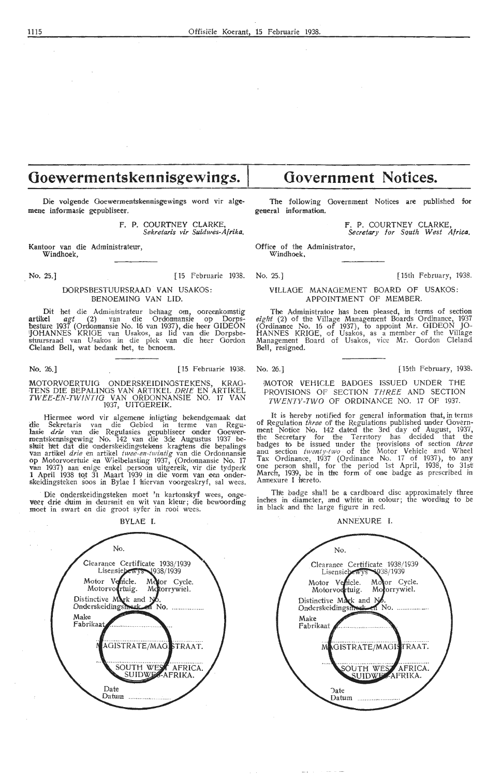# **Ooewermentskennisgewings.** I

Die volgende Goewermentskennisgewings word vir algemene informasie gepubliseer.

> F. P. COURTNEY CLARKE, *Sekretaris vir Suidwes-Af rika.*

Kantoor van die Administrateur, Windhoek,

No. 25.] [15 Februarie 1938. No. 25.] [15th February, 1938.

#### DORPSBESTUURSRAAD VAN USAKOS: BENOEMING VAN LID.

Dit het die Administrateur behaag om, ooreenkomstig artikel agt (2) van die Ordonnansie op Dorpsbesture 1937 (Ordonnansie No. 16 van 1937), die heer GIDEON iJOHANNES KRIOE van Usakos, as lid van die Dorpsbestuursraad van Usakos in die plek van die heer Gordon Cleland Bell, wat bedank het, te benoem.

No. 26.] [ 15 Februarie 1938.

MOTORVOERTUIG ONDERSKEIDINGSTEKENS, KRAG-<br>TENS DIE BEPALINGS VAN ARTIKEL *DRIE* EN ARTIKEL TWEE.-EN-TWINTIO VAN ORDONNANSIE NO. 17 VAN 1937, UITGEREIK.

Hiermee word vir algemene inligting bekendgemaak dat<br>Sekretaris van die Gebied in terme van Regudie Sekretaris van die Gebied in terme van Regu**lasie** *drie* **van die Regulasies gepubliseer onder Goewer-**<br>mentskennisgewing No. 142 van die 3de Augustus 1937 besluit het dat die onderskeidingstekens kragtens die bepalings Van artikel *drie* en artikel *twee-en-twintig v*an die Ordonnansie<br>op Motorvoertuie en Wielbelasting 1937, (Ordonnansie No. 17<br>van 1937) aan enige enkel .persoon uitgereik, vir die tydperk 1 April 1938 tot 31 Maart 1939 in die vorm van een onder-<br>skeidingsteken soos in Bylae I hiervan voorgeskryf, sal wees.

Die onderskeidingsteken moet 'n kartonskyf wees, onge veer drie duim in deursnit en wit van kleur; die bewoording moet in swart en die groot syfer in rooi wees.

**BYLAE** I.



# **Government Notices.**

The following Government Notices are published for general information.

> **F.** P. COURTNEY CLARKE, Secretary for Squth *West* **Africa.**

Office of the Administrator, Windhoek .

#### VILLAGE MANAGEMENT BOARD OF USAKOS: APPOINTMENT OF MEMBER.

The Administrator has been pleased, in .terms of section eight (2) of the Village Management Boards Ordinance, 1937 (Ordinance No. 16 of 1937), to appoint Mr. GIDEON JO-HANNES KRIGE, of Usakos, as a member of the Village Management Board of Usakos, vice Mr. Gordon Cleland Bell, resigned.

No. 26.] [ 15th February, 1938.

#### MOTOR VEHICLE BADGES ISSUED UNDER THE PROVISIONS OF SECTION THREE AND SECTION TWENTY-TWO OF ORDINANCE NO. 17 OF 1937.

It is hereby notified for general information that, in terms of Regulation three of the Regulations published under Govern-<br>ment Notice No. 142 dated the 3rd day of August, 1937, the Secretary for the Territory has decided that the badges to be issued under the provisions of section *three* ana section *tweinty-tw'o* • of the Motor Vehicle and Wheel Tax Ordinance, 1937 (Ordinance No. 17 of 1937), to any one person shall, for the period 1st April, 1938, to 31st March, 1939, be in tire form of one badge as prescribed in Annexure I hereto.

The badge shall be a cardboard disc approximately three inches in diameter, and white in colour; the wording to be in black and the large figure in red.

ANNEXURE I.

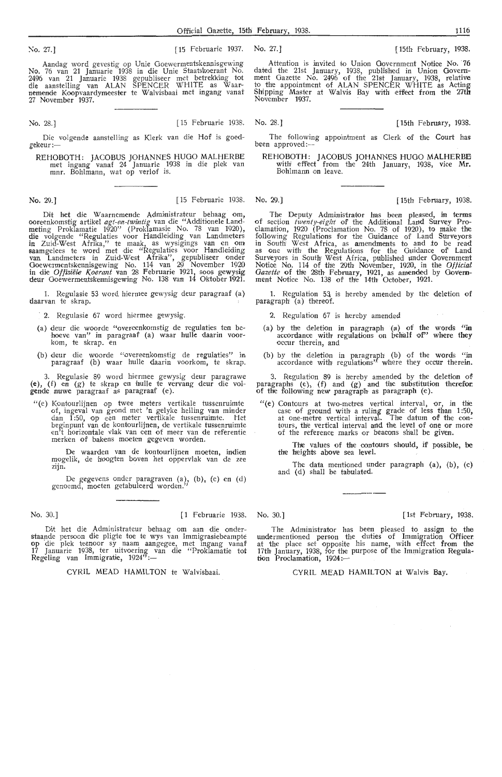No. 27.] [15 Februarie 1937. No. 27.] [15th February, 1938.

Aandag word gevestig op Unie Goewermentskennisgewing No. 76 van 21 Januarie 1938 in die Unie Staatskoerant No.<br>2496 van 21 Januarie 1938 gepubliseer met betrekking tot die aanstelling van ALAN SPENCER WHITE as Waarnemende Koopvaardymeester te Walvisbaai met ingang vanaf 27 November 1937.

No. 28.] [15 Februarie 1938. No. 28.] [15th February, 1938.

Die volgende aanstelling as Klerk van die Hof is goedgekeur :-

REHOBOTH : JACOBUS JOHANNES HUGO MALHERBE met ingang vanaf 24 Januarie 1938 in die plek van mnr. Bohlmann, wat op verlof is.

Dit het die Waarnemende Administrateur behaag om, ooreenkomstig artikel *agt-e-n-twmtig* van die "Ad<litionele Landmeting Proklamatie 1920'' (Proklamasie No. 78 van 1920), die volgende "Regulaties voor Handleiding van Landmeters in Zuid-West Afrika,'' te maak, as wysigings van en om<br>saamgelees te word met die "Regulaties voor Handleiding<br>van Landmeters in Zuid-West Afrika'', gepubliseer onder Goewermentskennisgewing No. 114 van 29 November 1920 in die *Offisiele* Koerant van 28 Februarie 1921, soos gewysig deur Ooewermentskennisgewing No. 138 van 14 Oktober 1921.

1. Regulasie 53 word hiermee gewysig deur paragraaf (a) daarvan te skrap.

2. Regulasie 67 word hiermee gewysig.

- (a) deur die woorde "overeenkomstig de reguiaties ten behoeve van" in paragraaf (a) waar hulle daarin voor-<br>hoeve van" in paragraaf (a) waar hulle daarin voor-<br>kom, te skrap. en
- (b) deur die woorde "overeenkomstig de regulaties" in paragraaf (b) waar frulle daarin voorkom, *te* skrap.

3. Regulasie 89 word hiermee gewysig deur paragrawe (e), (f) en (g) te skrap en hulie te vervang deur die voigende nuwe paragraaf as paragraaf (e).

"(e) Kontourlijnen op twee meters vertikale tussenruimte of, ingeval van grond met 'n gelyke helling van minder dan 1:50, op een meter vertikale tussenruimte. Het beginpunt van de kontourlijnen, de vertikale tussenruimte en't horizontale viak van een of meer van de referentie merken of bakens moeten gegeven worden.

De waarden van de kontourlijnen moeten, indien mogelik, de hoogten boven het oppervlak van de zee<br>zijn.

De gegevens onder paragraven (a), (b), (c) en (d) genoemd, moeten getabuleerd worden."

Dit het die Administrateur behaag om aan die onderstaande persoon die pligte toe te wys van Immigrasiebeampte op die plek teenoor sy naam aangegee, met ingang vanaf 17 Januarie 1938, ter uitvoering van die "Proklamatie tot<br>Regeling van Immigratie, 1924":-

CYRIL MEAD HAMILTON te Walvisbaai

Attention is invited to Union Government Notice No. 76 dated the 21st January, 1938, published in Union Government Gazette No. 2496 of the 21st January, 1938, relative to the appointment of ALAN SPENCER WHITE as Acting, Shipping Master at Walvis Bay with effect from the 27th November 1937.

The following appointment as Clerk of the Court has been approved:-

REHOBOTH: JACOBUS JOHANNES HUGO MALHERBE with effect from the 24th January, 1938, vice Mr. Bohlmann on leave.

No. 29.] [ 15 Februarie 1938. No. 29.) I 15th February, 1938.

The Deputy Administrator has been pleased, in terms of section *twenty-eight* of the Additional Land Survey Proclamation, 1920 (Proclamation No. 78 of 1920), to make the following Regulations for the Guidance of Land Surveyors<br>in South West Africa, as amendments to and to be read<br>as one with the Regulations for the Guidance of Land Surveyors in South West Africa, published under Government<br>Notice No. 114 of the 29th November, 1920, in the *Official* Gazette of the 28th February, 1921, as amended by Government Notice No. 138 of the 14th October, 1921.

1. Regulation 53 is hereby amended by the deletion of  $\frac{1}{2}$  paragraph (a) thereof.

2. Regulation 67 is hereby amended

- (a) by the deletion in paragraph (a) of the words "in accordance with regulations on behalf of" where they occur therein, and
- (b) by the deletion in paragraph (b) of the words "in accordance with regulations" where they occur therein.

3. Regulation 89 is hereby amended by the deletion of paragraphs  $(e)$ ,  $(f)$  and  $(g)$  and the substitution therefor. of the following new paragraph as paragraph (e).

"(e) Contours at two-metres vertical interval, or, in the case of ground with a ruling grade of less than 1:50, at one-metre vertical interval. The datum of the contours, the vertical interval and the level of one or more tower, the vertical interval and the level of one or of the reference marks or beacons shall be given.

The values of the contours should, if possible, be the heights above sea level.

The data mentioned under paragraph (a), (b), (c) and (d) shall be tabulated.

#### No. 30.] [1 Februarie 1938. No. 30.] [ 1st February, 1938.

The Administrator has been pleased to assign to the undermentioned person the duties of Immigration Officer at the place set opposite his name, with effect from the 17th January, 1938, for the purpose of the Immigration Regulation Proclamation, 1924:-

CYRIL MEAD HAMILTON at Walvis Bay.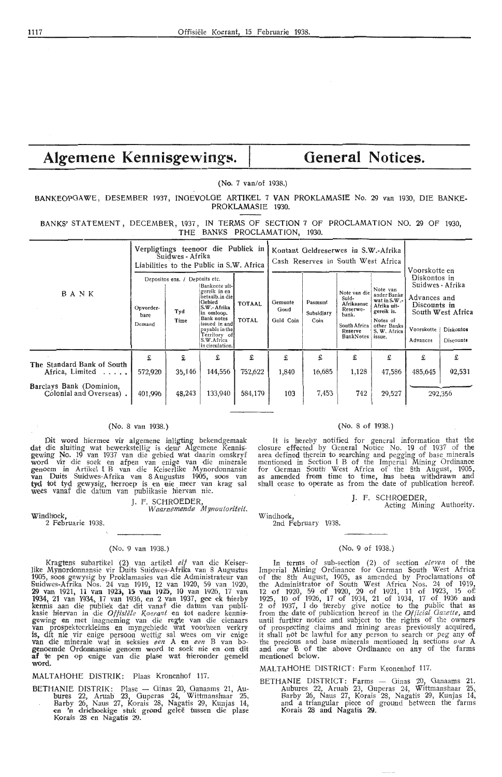# Algemene Kennisgewings. | General Notices.

(No. 7 van/of 1938.)

BANKEOPGAWE, DESEMBER 1937, INGEVOLGE ARTIKEL 7 VAN PROKLAMASIE No. 29 van 1930, DIE BANKE-PROKLAMASIE 1930.

BANKS' STATEMENT, DECEMBER, 1937, IN TERMS OF SECTION 7 OF PROCLAMATION NO. 29 OF 1930, THE BANKS PROCLAMATION, 1930.

|                                                     |                             | Suidwes - Afrika                                                                                                                                                                                                                            | Verpligtings teenoor die Publiek in<br>Liabilities to the Public in S.W. Africa |                        |                              | Kontant Geldreserwes in S.W.-Afrika<br>Cash Reserves in South West Africa | Voorskotte en                                                                                    |                                                                                                                              |                        |                                                                                                                 |  |
|-----------------------------------------------------|-----------------------------|---------------------------------------------------------------------------------------------------------------------------------------------------------------------------------------------------------------------------------------------|---------------------------------------------------------------------------------|------------------------|------------------------------|---------------------------------------------------------------------------|--------------------------------------------------------------------------------------------------|------------------------------------------------------------------------------------------------------------------------------|------------------------|-----------------------------------------------------------------------------------------------------------------|--|
| BANK                                                | Opvorder-<br>bare<br>Demand | Depositos ens. / Deposits etc.<br>Banknote uit-<br>gereik in en<br>betaalb.in diel<br>Gebied<br>S.W.- Afrika<br>Tyd<br>in omloop.<br>Bank notes<br>Time<br>issued in and<br>payable in the<br>Territory of<br>S.W.Africa<br>in circulation. |                                                                                 | <b>TOTAAL</b><br>TOTAL | Gemunte<br>Goud<br>Gold Coin | Pasmunt<br>Subsidiary<br>Coin                                             | Note van die<br>Suid-<br>Afrikaanse<br>Reserwe-<br>bank.<br>South Africa<br>Reserve<br>BankNotes | Note van<br>ander Banke<br>wat in $S.W.$ -<br>Afrika uit-<br>gereik is.<br>Notes of<br>other Banks<br>S. W. Africa<br>issue, | Voorskotte<br>Advances | Diskontos in<br>Suidwes - Afrika<br>Advances and<br>Discounts in<br>South West Africa<br>Diskontos<br>Discounts |  |
| The Standard Bank of South<br>Africa, Limited       | £<br>572,920                | £<br>35,146                                                                                                                                                                                                                                 | £<br>144,556                                                                    | £<br>752,622           | £<br>1,840                   | £<br>16,685                                                               | £<br>1,128                                                                                       | £<br>47,586                                                                                                                  | £<br>485,645           | £<br>92,531                                                                                                     |  |
| Barclays Bank (Dominion,<br>Colonial and Overseas). | 401,996                     | 48,243                                                                                                                                                                                                                                      | 133,940                                                                         | 584,179                | 103                          | 7,453                                                                     | 742                                                                                              | 29,527                                                                                                                       |                        | 292,356                                                                                                         |  |

#### (No. 8 van 1938.)

Dit word hiermee vir algemene inligting bekendgemaak dat die sluiting wat bewerkstellig is deur Algemene Kennisgewing No. 19 van 1937 van die gebied wat daarin omskryf word vir die soek en afpen van enige van die minerale genoem in Artikel I B van die Keiserlike Mynordonnansie<br>**van Duits Suid**wes-Afrika van 8 Augustus 1905, soos van<br>**tyd tot tyd** gewysig, ·berroep is en nie meer van krag sal<br>wees vanaf die datum van publikasie hiervan nie.

J. F. SCHROEDER,

Waarnemeru1£ *Mynoutoriteit.* 

Windhoek, 2 Februarie 1938.

#### (No. 9 van 1938.)

Kragtens subartikel (2) van artikel *elf* van die Keiser-<br>Iike Mynordonnansie vir Duits Suidwes-Afrika van 8 Augustus like Mynordonnansie vir Duits Suidwes-Afrika van 8 Augustus 1905, soos gewysig by Proklamasies van die Administrateur van<br>Suidwes-Afrika Nos. 24 van 1919, 12 van 1920, 59 van 1920, 29 van 1921, 11 van 19231 **15** van 1925, 10 van 1926, 17 van 1934, 21 van 1934, <sup>17</sup>van 1936, en 2 van *1937,* g,ee ek •hierby kennis aan die publiek dat dit vanaf die datum van publi-<br>kasie hiervan in die O*ffisiële Koerant* en tot nadere kennis-<br>gewing en met inagneming van die regte van die eienaars<br>van prospekteerkleims en myngebiede wat voorh **is,** dit nie vir enige persoon wettig sal wees om vir enige **van** die minerale wat in seksies *een* A en *een* B van hogenoemde Ordonnansie genoem word te soek nie en om dit af 'te pen op enige van die plase wat hieronder gemeld **word.** 

#### MALTAHOHE DISTRIK: Plaas Kronenhof 117.

BETHANIE DISTRIK: Plase - Ginas 20, Ganaams 21, Aubures 22, Aruab 23, Guperas 24, Wittmanshaar 25, Barby 26, Naus 27, Korais 28, Nagatis 29, Kunjas 14,<br>en 'n driehoekige stuk grond geleë tussen die plase Korais 28 en Nagatis 29.

#### (No. 8 of 1938.)

It is hereby notified for general information that the closure effected by Oeneral Notice No. *19* of 1937 of the area defined therein to searching and pegging of base minerals mentioned in Section I B of the Imperial Mining Ordinance for German South West Africa of the 8th August, 1905, as amended foom time to time, has been withdrawn and shall cease to operate as from the date of publication hereof.

J. F. SCHROEDER,

Acting Mining Authority.

Windhoek, 2nd February 1938.

#### (No. 9 of 1938.)

In terms of sub-section (2) of section *eleven* of the Imperial Mining Ordinance for German South West Africa of the 8th August, 1905, as amended by Proclamations of the Administrator of South West Africa Nos. 24 of 1919, 12 of 1920, 59 of 1920, 29 of 1921, 11 of 1923, 15 of; 1925, 10 of 1926, 17 of 1934, 21 of 1934, 17 of 1936 and! 2 of 1937, I do 'hereby give notice *to* the public that as from the date of publication her,eof :i,n the *Ot/'icial Gazette,* and until furthier notice and subject to the rights of the owners: of prospecting claims and mining areas previously acquired, it shall not be lawful for any person to search or peg any of the precious and base minerals mentioned in sections *one* A and *one* B of the above Ordinance on any of the farms mentioned below.

#### MALTAHOHE DISTRICT: Farm Kronenhof 117.

BETHANIE DISTRICT: Farms - Ginas 20, Ganaams 21. Aubur,es 22, Aruab 23, Guperas 24, Wittmanshaar 25, Barby 26, Naus 27, Korais 28, Nagatis 29, Kunjas 14, and a triangular pieoe of ground between tne farms Korais 28 and Nagatis 29.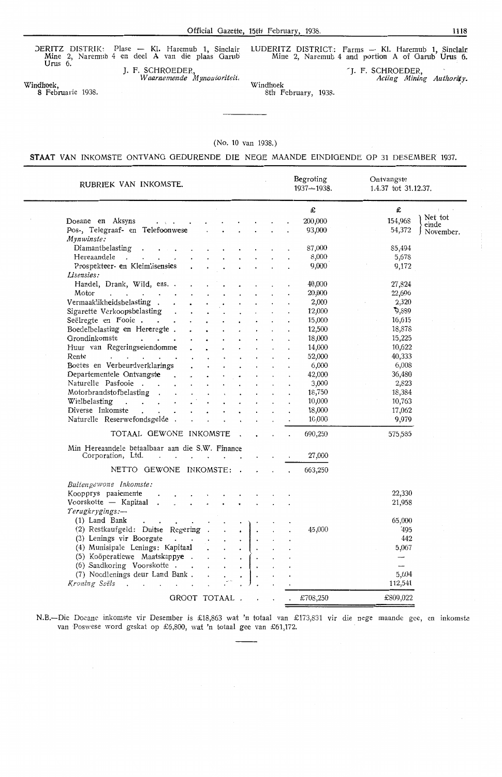DERITZ DISTRIK: Plase - Kl. Haremub 1, Sinclair Mine 2, Naremub 4 en deel **A** van die plaas Oarub Urus 6.

J. F. SCHROEDER, *W aarnemende M y;zoutoriteit,* Windhoek

LUDERITZ DISTRICT: Farms - Kl. Haremub 1, Sinclair Mine 2, Nar-emub 4 and portion A of Garub Urus 6.

> -J. F. SCHROEDER, *Acting Mining Authority.*

Windhoek, Albook, Windhook B Februarie 1938.

 $\ddot{\phantom{a}}$ 

8th February, 1938.

#### (No. 10 van 1938.)

#### **STAAT** VAN INKOMSTE ONTVANG GEDURENDE DIE NEGE MAANDE EINDIGENDE OP 31 DESEMBER 1937.

| RUBRIEK VAN INKOMSTE.                                                                                       |                                              |                      |                        |  | Begroting<br>$1937 - 1938$ . | Ontvangste<br>1.4.37 tot 31.12.37. |                  |
|-------------------------------------------------------------------------------------------------------------|----------------------------------------------|----------------------|------------------------|--|------------------------------|------------------------------------|------------------|
|                                                                                                             |                                              |                      |                        |  | £                            | £                                  |                  |
| Doeane en Aksyns<br>$\mathcal{L}^{\mathcal{L}}$ , and the set of the set of the $\mathcal{L}^{\mathcal{L}}$ | $\cdot$ .                                    |                      |                        |  | 200,000                      | 154,968                            | Net tot<br>einde |
| Pos-, Telegraaf- en Telefoonwese                                                                            |                                              |                      |                        |  | 93,000                       | 54,372                             | November.        |
| Mynwinste:                                                                                                  |                                              |                      |                        |  |                              |                                    |                  |
| Diamantbelasting .<br>$\ddot{\bullet}$ . The set of $\ddot{\bullet}$                                        |                                              |                      |                        |  | 87,000                       | 85,494                             |                  |
| Hereaandele                                                                                                 |                                              |                      |                        |  | 8,000                        | 5,678                              |                  |
| Prospekteer- en Kleimlisensies                                                                              |                                              |                      |                        |  | 9,000                        | 9,172                              |                  |
| Lisensies:                                                                                                  |                                              |                      |                        |  |                              |                                    |                  |
| Handel, Drank, Wild, ens. .                                                                                 |                                              |                      |                        |  | 40,000                       | 27,824                             |                  |
| Motor<br>$\mathcal{A}$                                                                                      | $\bullet$                                    |                      |                        |  | 20,000                       | 22,696                             |                  |
| Vermaaklikheidsbelasting.<br>$\mathbf{A}$                                                                   |                                              |                      |                        |  | 2,000                        | 2,320                              |                  |
| Sigarette Verkoopsbelasting .                                                                               | $\ddot{\phantom{0}}$                         |                      |                        |  | 12,000                       | 3,889                              |                  |
| Seëlregte en Fooie.                                                                                         |                                              |                      |                        |  | 15,000                       | 16,615                             |                  |
| Boedelbelasting en Hereregte.                                                                               |                                              |                      |                        |  | 12,500                       | 18,878                             |                  |
| Grondinkomste<br>$\mathbf{r}$ . The set of $\mathbf{r}$                                                     |                                              |                      |                        |  | 18,000                       | 15,225                             |                  |
| Huur van Regeringseiendomme                                                                                 |                                              |                      |                        |  | 14,000                       | 10,622                             |                  |
| Rente<br>the contract of the contract of                                                                    |                                              |                      |                        |  | 52,000                       | 40,333                             |                  |
| Boetes en Verbeurdverklarings                                                                               |                                              |                      |                        |  | 6,000                        | 6,008                              |                  |
| Departementele Ontvangste .                                                                                 | $\ddot{\phantom{0}}$<br>$\bullet$            | $\bullet$            | $\ddot{\phantom{a}}$   |  | 42,000                       | 36,480                             |                  |
| Naturelle Pasfooie.                                                                                         | $\mathbf{r}$                                 | $\ddot{\phantom{0}}$ |                        |  | 3,000                        | 2,823                              |                  |
| Motorbrandstofbelasting                                                                                     |                                              |                      |                        |  | 18,750                       | 18,384                             |                  |
| Wielbelasting<br>$\mathbf{r}$ , $\mathbf{r}$ , $\mathbf{r}$ , $\mathbf{r}$                                  |                                              |                      |                        |  | 10,000                       | 10,763                             |                  |
| Diverse Inkomste<br>$\mathbf{r}$ $\mathbf{r}$                                                               |                                              |                      |                        |  | 18,000                       | 17,062                             |                  |
| Naturelle Reserwefondsgelde.                                                                                |                                              |                      |                        |  | 10,000                       | 9,979                              |                  |
| TOTAAL GEWONE INKOMSTE.                                                                                     |                                              |                      |                        |  | 690,250                      | 575,585                            |                  |
|                                                                                                             |                                              |                      |                        |  |                              |                                    |                  |
| Min Hereaandele betaalbaar aan die S.W. Finance                                                             |                                              |                      |                        |  |                              |                                    |                  |
| Corporation, Ltd.<br>$\ddot{\phantom{0}}$<br>$\mathbf{r}$                                                   | $\mathbf{r}$<br>$\ddot{\phantom{0}}$         |                      |                        |  | 27,000                       |                                    |                  |
| NETTO GEWONE INKOMSTE: .                                                                                    |                                              |                      |                        |  | 663,250                      |                                    |                  |
| Buitengewone Inkomste:                                                                                      |                                              |                      |                        |  |                              |                                    |                  |
| Koopprys paaiemente<br>$\ddot{\phantom{a}}$                                                                 |                                              |                      |                        |  |                              | 22,330                             |                  |
| Voorskotte - Kapitaal .<br>$\mathcal{L}^{\text{max}}$                                                       | $\ddot{\phantom{a}}$<br>$\ddot{\phantom{0}}$ |                      |                        |  |                              | 21,958                             |                  |
| Terugkrygings:-                                                                                             |                                              |                      |                        |  |                              |                                    |                  |
| (1) Land Bank                                                                                               |                                              |                      |                        |  |                              | 65,000                             |                  |
| (2) Restkaufgeld: Duitse Regering.                                                                          |                                              |                      |                        |  | 45,000                       | 495                                |                  |
| (3) Lenings vir Boorgate                                                                                    |                                              | $\mathcal{L}^{\pm}$  |                        |  |                              | 442                                |                  |
| (4) Munisipale Lenings: Kapitaal                                                                            |                                              | $\ddot{\phantom{0}}$ |                        |  |                              | 5,067                              |                  |
| (5) Koöperatiewe Maatskappye.                                                                               |                                              | $\mathbf{r}$         | $\left( \cdot \right)$ |  |                              | $-$                                |                  |
| (6) Saadkoring Voorskotte                                                                                   | $\mathbf{r}$                                 | $\ddot{\phantom{0}}$ |                        |  |                              | $\overline{\phantom{a}}$           |                  |
| (7) Noodlenings deur Land Bank.                                                                             |                                              |                      |                        |  |                              | 5,604                              |                  |
| Kroning Seëls<br>$\overline{a}$<br>in 1<br>$\sim$                                                           |                                              |                      |                        |  |                              | 112,541                            |                  |
|                                                                                                             |                                              |                      |                        |  |                              |                                    |                  |
|                                                                                                             | GROOT TOTAAL.                                |                      |                        |  | £708,250                     | £809,022                           |                  |

N.B.-Die Doeane inkomste vir Desember is £18,863 wat 'n totaal van £173,831 vir die nege maande gee, en inkomste van Poswese word geskat op £6,800, wat 'n totaal gee van £61,172.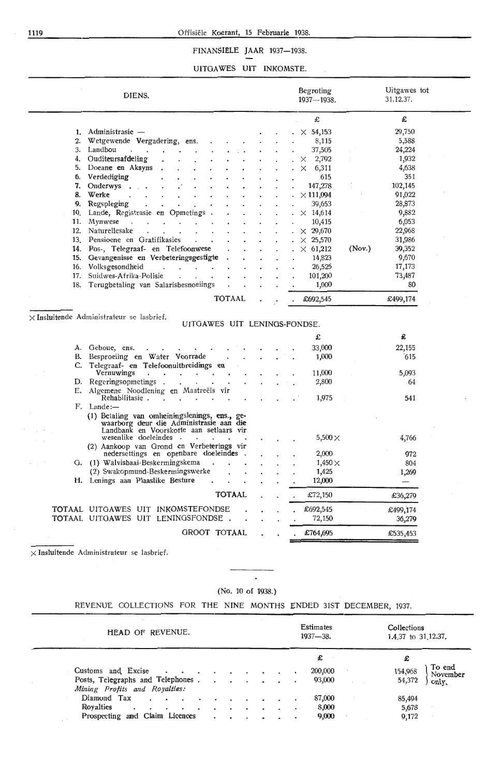#### 1119 Offisiële Koerant, 15 Februarie 1938.

## FINANSIËLE JAAR 1937-1938.

#### UITOA WES UIT INKOMSTE.

 $\mathcal{L}_{\mathcal{A}}$ 

|     | DIENS.                                                                                                                                            | Begroting<br>1937-1938. |        | Uitgawes tot<br>31.12.37. |
|-----|---------------------------------------------------------------------------------------------------------------------------------------------------|-------------------------|--------|---------------------------|
|     |                                                                                                                                                   | £                       |        | £                         |
|     | 1. Administrasie -                                                                                                                                | $\times$ 54,153         |        | 29,750                    |
| 2.  | Wetgewende Vergadering, ens.                                                                                                                      | 8,115                   |        | 5,588                     |
| 3.  | Landbou<br>$\cdots$                                                                                                                               | 37,505                  |        | 24,224                    |
| 4.  | Ouditeursafdeling                                                                                                                                 | 2,792<br>×.             |        | 1,932                     |
| 5.  | Doeane en Aksyns                                                                                                                                  | $\times$<br>6,311       |        | 4,638                     |
| б.  | Verdediging                                                                                                                                       | 615                     |        | 351                       |
| 7.  | Onderwys.                                                                                                                                         | 147,278                 |        | 102,145                   |
| 8.  | Werke                                                                                                                                             | $\times$ 111,094        |        | 91,022                    |
| 9.  | Regspleging                                                                                                                                       | 39,653                  |        | 28,873                    |
| 19. | Lande, Registrasie en Opmetings.                                                                                                                  | $\times$ 14,614         |        | 9,882                     |
| 11. | Mynwese<br>$\sim$<br>$\mathbf{r}$<br>$\blacksquare$                                                                                               | 10,415                  |        | 6,053                     |
| 12. | Naturellesake                                                                                                                                     | $\times$ 29,670         |        | 22,968                    |
| 13. | Pensioene en Gratifikasies<br>$\sim$<br>$\ddot{\phantom{0}}$                                                                                      | $\times$ 25,570         |        | 31,986                    |
| 14. | Pos-, Telegraaf- en Telefoonwese                                                                                                                  | $\times$ 61,212         | (Nov.) | 39,352                    |
|     | 15. Gevangenisse en Verbeteringsgestigte                                                                                                          | 14,823                  |        | 9,670                     |
| 16. | Volksgesondheid<br>$\mathbf{r}$<br>$\mathbf{r}$<br>$\mathbf{L}^{\text{max}}$                                                                      | 26,525                  |        | 17,173                    |
| 17. | Suidwes-Afrika-Polisie<br>$\ddot{\phantom{0}}$<br>$\ddot{\phantom{a}}$<br>$\cdot$                                                                 | 101,200                 |        | 73,487                    |
| 18. | Terugbetaling van Salarisbesnoeiings                                                                                                              | 1,000                   |        | 80                        |
|     | <b>TOTAAL</b>                                                                                                                                     | £692,545                |        | £499,174                  |
|     | $\times$ Insluitende Administrateur se lasbrief.                                                                                                  |                         |        |                           |
|     | UITGAWES UIT LENINGS-FONDSE.                                                                                                                      | £                       |        | £                         |
|     |                                                                                                                                                   |                         |        |                           |
| В.  | A. Geboue, ens.                                                                                                                                   | 33,000                  |        | 22,155<br>615             |
| C.  | Besproeiing en Water Voorrade<br>Telegraaf- en Telefoonuitbreidings en                                                                            | 1,000                   |        |                           |
|     | Vernuwings<br>$\ddot{\phantom{1}}$<br>$\mathbf{r} = \mathbf{r} \mathbf{r}$ , where $\mathbf{r} = \mathbf{r} \mathbf{r}$<br>$\bullet$              | 11,000                  |        | 5,093                     |
| E.  | D. Regeringsopmetings.<br>$\sim$<br>$\cdots$ $\cdots$<br>Algemene Noodlening en Maatreëls vir                                                     | 2,800                   |        | 64                        |
|     | Rehabilitasie.<br>$\sim$ $\sim$ $\sim$ $\sim$                                                                                                     | 1,975                   |        | 541                       |
|     | F. Lande:-<br>(1) Betaling van omheiningslenings, ens., ge-<br>waarborg deur die Administrasie aan die<br>Landbank en Voorskotte aan setlaars vir |                         |        |                           |
|     | wesenlike doeleindes                                                                                                                              | 5,500 $\times$          |        | 4,766                     |
|     | (2) Aankoop van Grond en Verbeterings vir<br>nedersettings en openbare doeleindes                                                                 | 2,000                   |        | 972                       |
| G.  | (1) Walvisbaai-Beskermingskema                                                                                                                    | $1,450\times$           |        | 804                       |
|     | (2) Swakopmund-Beskermingswerke                                                                                                                   | 1,425                   |        |                           |
|     | H. Lenings aan Plaaslike Besture                                                                                                                  | 12,000                  |        | 1,269<br>$\qquad \qquad$  |
|     | <b>TOTAAL</b>                                                                                                                                     | £72,150                 |        | £36,279                   |
|     |                                                                                                                                                   |                         |        |                           |
|     | TOTAAL UITGAWES UIT INKOMSTEFONDSE                                                                                                                | £692,545                |        | £499,174                  |
|     | TOTAAL UITGAWES UIT LENINGSFONDSE<br>GROOT TOTAAL                                                                                                 | 72,150<br>£764,695      |        | 36,279<br>£535,453        |

 $\times$  Insluitende Administrateur se lasbrief.

## (No. 10 of 1938.)

 $\bar{\phantom{a}}$ 

REVENUE COLLECTIONS FOR THE NINE MONTHS ENDED 31ST DECEMBER, 1937.

| HEAD OF REVENUE.                                                  |  |  |  | Estimates<br>$1937 - 38.$ |   | Collections<br>1.4.37 to 31, 12.37. |
|-------------------------------------------------------------------|--|--|--|---------------------------|---|-------------------------------------|
|                                                                   |  |  |  | £                         |   | £                                   |
| Customs and Excise                                                |  |  |  | 200,000                   |   | To end<br>154,968<br>November       |
| Posts, Telegraphs and Telephones<br>Mining Profits and Royalties: |  |  |  | 93,000                    |   | 54,372<br>only.                     |
| Diamond Tax                                                       |  |  |  | 87,000                    |   | 85,494                              |
| Rovalties<br>$\ddot{\phantom{0}}$<br>$\sim$                       |  |  |  | 8,000                     |   | 5,678                               |
| Prospecting and Claim Licences                                    |  |  |  | 9,000                     | ÷ | 9,172                               |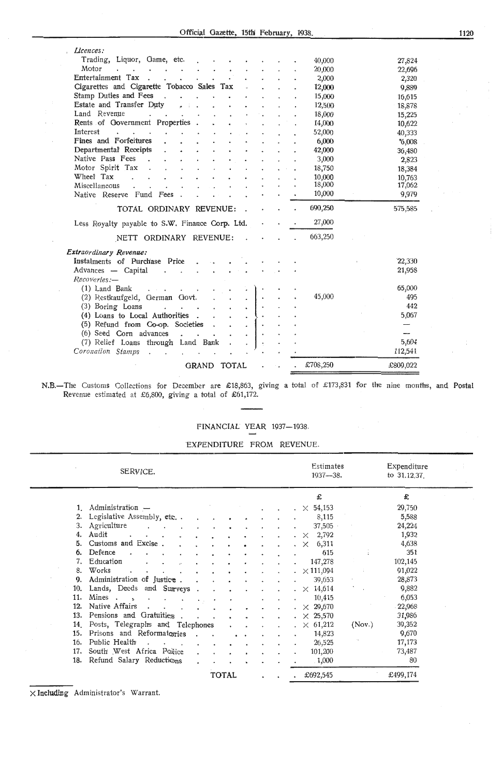Official Gazette, 15th February, 1938.

| Licences:                                       |              |              |    |  |          |                  |
|-------------------------------------------------|--------------|--------------|----|--|----------|------------------|
| Trading, Liquor, Game, etc.                     |              |              |    |  | 40,000   | 27,824           |
| Motor                                           |              |              |    |  | 20,000   | 22,696           |
| Entertainment Tax                               |              |              |    |  | 2,000    | 2,320            |
| Cigarettes and Cigarette Tobacco Sales Tax      |              |              |    |  | 12,000   | 9,889            |
| Stamp Duties and Fees                           |              |              |    |  | 15,000   | 16,615           |
| Estate and Transfer Duty                        |              |              |    |  | 12,500   | 18,878           |
| Land Revenue                                    |              |              |    |  | 18,000   | 15,225           |
| Rents of Government Properties                  |              |              |    |  | 14,000   | 10,622           |
| Interest                                        |              |              |    |  | 52,000   |                  |
| Fines and Forfeitures                           |              |              |    |  | 6,000    | 40,333<br>'6.008 |
| Departmental Receipts                           |              |              |    |  | 42,000   |                  |
| Native Pass Fees                                |              |              |    |  | 3,000    | 36,480           |
| Motor Spirit Tax                                |              |              |    |  | 18,750   | 2,823            |
| Wheel Tax                                       |              |              |    |  | 10,000   | 18,384           |
| Miscellaneous                                   |              |              |    |  | 18,000   | 10,763<br>17,062 |
| Native Reserve Fund Fees                        |              |              |    |  | 10,000   | 9,979            |
|                                                 |              |              |    |  |          |                  |
| TOTAL ORDINARY REVENUE:                         |              |              |    |  | 690,250  | 575,585          |
| Less Royalty payable to S.W. Finance Corp. Ltd. |              |              |    |  | 27,000   |                  |
| NETT ORDINARY REVENUE:                          |              |              |    |  | 663,250  |                  |
| Extraordinary Revenue:                          |              |              |    |  |          |                  |
| Price<br>Instalments of Purchase                |              |              |    |  |          | 22,330           |
| Advances — Capital                              |              |              |    |  |          | 21,958           |
| Recoveries:-                                    |              |              |    |  |          |                  |
| (1) Land Bank                                   |              |              |    |  |          | 65,000           |
| (2) Restkaufgeld, German Govt.                  |              |              |    |  | 45,000   | 495              |
| (3) Boring Loans<br>$\cdot$                     |              |              |    |  |          | 442              |
| (4) Loans to Local Authorities                  |              |              |    |  |          | 5,067            |
| (5) Refund from Co-op. Societies                |              |              |    |  |          |                  |
| (6) Seed Corn advances                          |              |              |    |  |          |                  |
| (7) Relief Loans through Land Bank              |              |              | ÷, |  |          | 5,604            |
| Coronation Stamps                               |              |              |    |  |          | 112,541          |
|                                                 |              |              |    |  |          |                  |
|                                                 | <b>GRAND</b> | <b>TOTAL</b> |    |  | £708,250 | £809,022         |

N.B.-The Customs Gollections for December are £18,863, giving a total of £173,831 for the nine months, and Postal Revenue estimated at £6,800, giving a total of £61,172.

## FINANCIAL YEAR 1937-1938.

EXPENDITURE FROM REVENUE.

|     | SERVICE.                            |  |              |  |  | Estimates<br>$1937 - 38.$ |        | Expenditure<br>to $31.12.37$ . |  |
|-----|-------------------------------------|--|--------------|--|--|---------------------------|--------|--------------------------------|--|
|     |                                     |  |              |  |  | £                         |        | £                              |  |
|     | 1. Administration $-$               |  |              |  |  | $\chi$ 54,153             |        | 29,750                         |  |
| 2.  | Legislative Assembly, etc           |  |              |  |  | 8,115                     |        | 5,588                          |  |
| 3.  | Agriculture                         |  |              |  |  | 37,505                    |        | 24,224                         |  |
| 4.  | Audit                               |  |              |  |  | 2,792<br>$\times$         |        | 1,932                          |  |
| 5.  | Customs and Excise.                 |  |              |  |  | 6,311<br>$\times$         |        | 4,638                          |  |
| 6.  | Defence                             |  |              |  |  | 615                       |        | 351                            |  |
| 7.  | Education                           |  |              |  |  | 147,278                   |        | 102,145                        |  |
| 8.  | Works                               |  |              |  |  | $\cdot \ \times 111,094$  |        | 91,022                         |  |
| 9.  | Administration of Justice.          |  |              |  |  | 39,653                    |        | 28,873                         |  |
|     | 10. Lands, Deeds and Surveys        |  |              |  |  | $\cdot \times 14,614$     |        | 9,882                          |  |
| 11. | Mines .<br>$\sim$<br>$\blacksquare$ |  |              |  |  | 10,415                    |        | 6,053                          |  |
| 12. | Native Affairs                      |  |              |  |  | $\cdot \times 29,670$     |        | 22,968                         |  |
| 13. | Pensions and Gratuities             |  |              |  |  | $\star \times 25,570$     |        | 31,986                         |  |
| 14. | Posts, Telegraphs and Telephones    |  |              |  |  | $\chi$ 61,212             | (Nov.) | 39,352                         |  |
| 15. | Prisons and Reformatories           |  |              |  |  | 14,823                    |        | 9,670                          |  |
| 16. | Public Health                       |  |              |  |  | 26,525                    |        | 17,173                         |  |
| 17. | South West Africa Police            |  |              |  |  | 101,200                   |        | 73,487                         |  |
|     | 18. Refund Salary Reductions        |  |              |  |  | 1,000                     |        | 80                             |  |
|     |                                     |  | <b>TOTAL</b> |  |  | £692,545                  |        | £499,174                       |  |

 $\times$  Including Administrator's Warrant.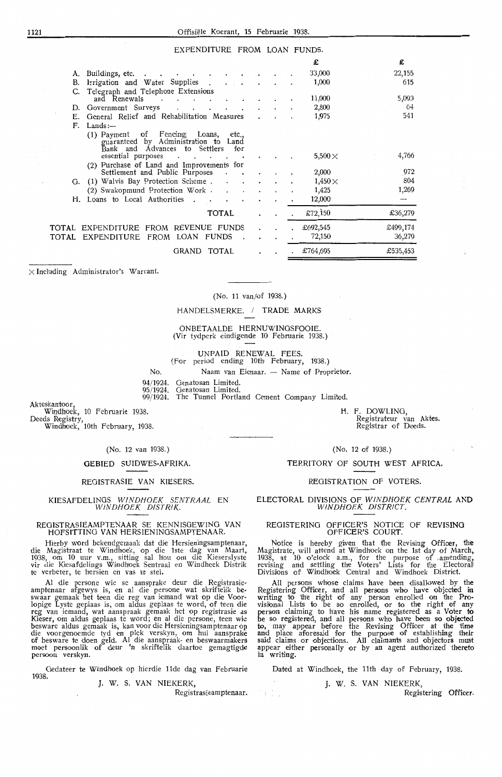#### EXPENDITURE FROM LOAN FUNDS.

|    |                                                                                                                                                    |  |         | £               | £        |
|----|----------------------------------------------------------------------------------------------------------------------------------------------------|--|---------|-----------------|----------|
|    | A. Buildings, etc.                                                                                                                                 |  |         | 33,000          | 22,155   |
| В. | Irrigation and Water Supplies .<br>$\cdot$ $\cdot$ $\cdot$                                                                                         |  |         | 1,000           | 615      |
| C. | Telegraph and Telephone Extensions<br>and Renewals                                                                                                 |  |         | 11,000          | 5,093    |
|    | D. Government Surveys                                                                                                                              |  |         | 2,800           | 64       |
| Е. | General Relief and Rehabilitation Measures                                                                                                         |  |         | 1,975           | 541      |
| F. | Lands:                                                                                                                                             |  |         |                 |          |
|    | of Fencing<br>Loans,<br>etc.,<br>(1) Payment<br>guaranteed by Administration to Land<br>Bank and Advances to Settlers<br>for<br>essential purposes |  |         | $5{,}500\times$ | 4,766    |
|    | (2) Purchase of Land and Improvements for<br>Settlement and Public Purposes                                                                        |  |         | 2,000           | 972      |
|    | G. (1) Walvis Bay Protection Scheme.                                                                                                               |  |         | $1{,}450\times$ | 804      |
|    | (2) Swakopmund Protection Work.                                                                                                                    |  |         | 1,425           | 1,269    |
| Н. | Loans to Local Authorities.                                                                                                                        |  |         | 12,000          |          |
|    |                                                                                                                                                    |  |         |                 |          |
|    | TOTAL                                                                                                                                              |  |         | £72,150         | £36,279  |
|    | TOTAL EXPENDITURE FROM REVENUE FUNDS                                                                                                               |  | $\cdot$ | £692,545        | £499,174 |
|    | TOTAL EXPENDITURE<br>FROM LOAN FUNDS                                                                                                               |  |         | 72,150          | 36,279   |
|    | GRAND<br>TOTAL                                                                                                                                     |  |         | £764,695        | £535,453 |

 $\times$  Including Administrator's Warrant.

(No. 11 van/of 1938.)

HANDELSMERKE. / TRADE MARKS

ONBETAALDE HERNUWINGSFOOIE. (Vir tydperk eindigende **10** Februarie 1938.)

UNPAID RENEWAL FEES.

(For period ending 10th February, 1938.)

No. Naam van Eienaar. - Name of Proprietor.

94/ 1924. Genatosan Limited.

95/ 1924. Genatosan Limited.

99/1924. The Tunnel Portland Cement Company Limited.

Akteskantoor,

Windhoek, 10 Februarie 1938. Deeds Registry,

Windhoek, 10th February, 1938.

(No. 12 van 1938.)

#### GEBIED SUIDWES-AFRIKA.

REGISTRASIE VAN KIESERS.

#### KIESAFDELINGS WINDHOEK SENTRAAL EN WINDHOEK DISTRIK.

#### REOISTRASIEAMPTENAAR SE KENNlSGEWING VAN HOFSITTING VAN HERSIENINGSAMPTENAAR.

Hierby word bekendgemaak dat die Hersieningsamptenaar, die Magistraat te Windhoek, op die 1ste dag van Maart, 1938, om 10 uur V.m., sitting sal hlou om die Kieserslyste vir die Kiesafdelings Windhoek Sentraal en Windhoek Distrik te verbeter, te hersien en vas te stel.

Al die persone wie se aansprake deur die Registrasieamptenaar afgewys is, en al die persone wat skriftelik be-<br>swaar gemaak het teen die reg van iemand wat op die Voorlopige Lyste geplaas is, om aldus geplaas te word, of teen die reg van iemand, wat aanspraak gemaak het op registrasie as<br>Kieser, om aldus geplaas te word; en al die persone, teen wie besware aldus gemaak is, kan voor die Hersieningsamptenaar op die voorgenoemde tyd en plek verskyn, om hul aansprake<br>of besware te doen geld. Al die aanspraak- en beswaarmakers moet persoonlik of deur 'n skriftelik daartoe gemagtigde persoon verskyn.

Gedateer te Windhoek op hierdie 11de dag van Februarie 1938.

J. W. S. VAN NIEKERK,

Registrasieamptenaar.

 $\frac{1}{2}$ 

**H.** F. DOWLING, Registrateur van Aktes. Registrar of Deeds.

(No. 12 of 1938.)

TERRITORY OF SOUTH WEST AFRICA.

#### REGISTRATION OF VOTERS.

ELECTORAL DIVISIONS OF WINDHOEK CENTRAL **AND**  WINDHOEK DISTRICT.

#### REGISTERING OFFICER'S NOTICE OF REVISING OFFICER'S COURT.

Notice is hereby given that the Revising Officer, the Magistrate, will attend at Windhoek on the 1st day of March, 1938, at 10 o'clock a.m., for the purpose of amending, revising and settling tire Voters' Lists for the Electoral: Div'isions of Windhoek Central and Windhoek District.

All persons whose claims have been disallowed by the Registering Officer, and all persons who have objected in<br>writing to the right of any person enrolled on the Provisional Lists to be so enrolled, or to the right of any person claiming to have his name registered as a Voter to be so registered, and all persons who have been so objected to, may appear before the Revising Officer at the time and place aforesaid for the purpose of establishing their said claims or objections. All claimants and objectors must appear either personally or by an agent authorized thereto in writing.

Dated at Windhoek, the 11th day of February, 1938.

#### J. W. S. VAN NIEKERK,

Registering Officer.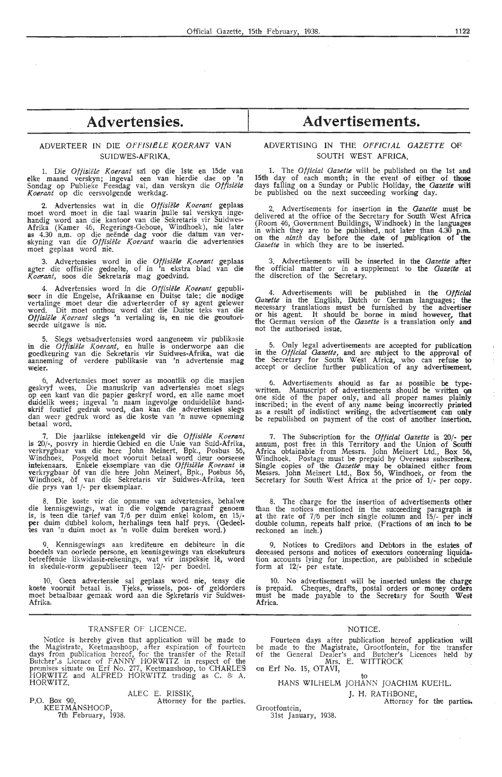## **Advertensies.**

#### ADVERTEER IN DIE OFFISIËLE KOERANT VAN SUIDWES-AFRIKA.

1. Die *Otfisii!le Koerant* sai op die lste en 15de vao elke maand verskyn; ingeval een van hierdie dae op **'n**  Sondag op Publieke Feesdag val, dan verskyn die Offisiële *Koerant* op die eersvolgende werkdag.

2. Advertensies wat in die *Offisiële Koerant* geplaas moet word moet in die taal waarin hulle sal verskyn ingehandig word aan die kantoor van die Sekretaris vir Suidwes-<br>Afrika (Kamer 46, Regerings-Geboue, Windhoek), nie later<br>as 4.30 n.m. op die neënde dag voor die datum van ver-<br>skyning van die *Offisiële Koerant* waarin die adv

3. Advertensies word in die Offisiële Koerant geplaas agter die offisiële gedeelte, of in 'n ekstra blad van die Koerant, soos die Sekretaris mag goedvind.

4. Advertensies word in die *Offisiële Koerant* gepubli-<br>seer in die Engelse, Afrikaanse en Duitse tale; die nodige<br>vertalinge moet deur die adverteerder of sy agent gelewer word. Dit moet onthou word dat die Duitse teks van die Offisiële Koerant slegs 'n vertaling is, en nie die geoutoriseerde uitgawe is nie.

5. Slegs wetsadvertensies word aangeneem vir publikasie in die *Offisiele Koerant,* en hulle is onderworpe aan die goedkeuring van die Sekretaris vir Suidwes-Afrika, wat die aanneming of verdere publikasie van 'n advertensie mag **weier.** 

6. Advertensies moet saver as moontlik op die masjien geskryf wees. Die manuskrip van advertensies moet slegs<br>op een kant van die papier geskryf word, en alle name moet duidelik wees; ingeval 'n naam ingevolge onduidelike handskrif foutief gedruk word, dan kan die advertensies slegs dan weer gedruk word as die koste van 'n nuwe opneming betaal word.

7. Die jaarlikse intekengeld vir die Offisiële Koerant is 20/-, posvry in hierdie Gebied en die Unie van Suid-Afrika, verkrygbaar van die here John Meinert, Bpk., Posbus 56, Windhoek. Posgeld moet vooruit betaal word deur 0orseese intekenaars. Enkele ,eksemplare van die *Otfisii!le Koerant* is verkrygbaar of van die here John Meinert, Bpk., Posbus 56, Windhoek, of van die Sekretaris vir Suidwes-Afrika, teen die prys van 1/- per eksemplaar.

8. Die koste vir die opname van advertensies, behalwe die kennisgewings, wat in die volgende paragraaf genoem is, is teen die tarief van 7/6 per duim enkel kolom, en 15/-<br>per duim dubbel kolom, herhalings teen half prys. (Gedeeltes van 'n duim moet as 'n volle duim bereken word.)

9. Kennisgewings aan krediteure en debiteure in die boedels van oorlede persone, en kennisgewings van eksekuteurs betreffende likwidasie-rekenings, wat vir inspeksie lê, word in skedule-vorm gepubliseer teen 12/- per boedel.

10. Geen advertensie sal geplaas word nie, tensy die koste vooruit betaal is. Tjeks, wissels, pos- of \_geldorders moet betaalbaar gemaak word aan die Sekretaris vir Suidwes-Afrika.

#### TRANSFER OF LICENCE.

Notice is hereby given that application will be made to the Magistrate, Keetmanshoop, after expiration of fourteen days from publication hereof, for the transfer of the Retail Butcher's Licence of FANNY HORWITZ in respect of the premises situate on Erf No. 277, Keetmanshoop, to CHARLES HORWITZ and ALFRED HORWITZ trading as C. 8' A. HORWITZ.

ALEC E. RISSIK,

Attorney for the parties.

KEETMANSHOOP, 7th February, 1938.

P.O. Box 90,

## **Advertisements.**

#### ADVERTISING IN THE OFFICIAL GAZETTE OF SOUTH WEST AFRICA,

1. The *Official Gazette* will be published on the 1st **and**  15th day of each month; in the event of either of **those**  days falling on a Sunday or Public Holiday, the *Gazette* wiM be published on the next succeeding working day.

2. Advertisements for insertion in the *Gazette* must **be**  delivered at the office of the Secretary for South West **Africa**  (Room 46, Government Buildings, Windhoek) in the languages in which they are to be published, not later than 4.30 **p.m.** on the *ninth* day before the date of publication of the *Gazette* in which they are to be inserted.

3. Advertisements will be inserted in the *Gazette* **after**  the official matter or in a supplement to the *Gazette* **at**  the discretion of the Secretary.

4. Advertisements will be published in the Official *Gazette* in the English, Dutch or German languages; the necessary translations must be furnished by the advertiser or his agent. It should be borne in mind however, **that**  the German version of the *Gazette* is a translation only and not the authorised issue.

5. Only legal advertisements are accepted for publication in the *Official Gazette*, and are subject to the approval of the Secretary for South West Africa, who can refuse to<br>accept or decline further publication of any advertisement.

6. Advertisements should as far as possible be typewritten. Manuscript of advertisements should be written on<br>one side of the paper only, and all proper names plainly<br>inscribed; in the event of any name being incorrectly printed<br>as a result of indistinct writing, the adver be republished on payment of the cost of another insertion.

7. The Subscription for the *Official Gazette* is 20/- **per**  annum, post free in this Territory and the Union of South Africa obtainable from Messrs. John Meinert Ltd., Box 56, Windhoek. Postage must be prepaid by Overseas subscribers. Single copies of the *Gazette* may be obtained either from Messrs. John Meinert Ltd., Box 56, Windhoek, or from the Secretary for South West Africa at the price of 1/- per copy.

8. The charge for the insertion of advertisements other than the notices mentioned in the succeeding paragraph is at the rate of 7/6 per inch single column and 15/- per inch! double column, repeats half price. (Fractions of an inch to be reckoned an inch.)

9. Notices to Creditors and Debtors in the estates of deceased persons and notices of executors concerning liquidation accounts lying for inspection, are published in schedule form at  $12/-$  per estate.

10. No advertisement will be inserted unless the charge is prepaid. Cheques, drafts, postal orders or money orders must be made payable to the Secretary for South West **Africa.** 

#### NOTICE.

Fourteen days after publication hereof application will be made to the Magistrate, Grootfontein, for the transfer of the General Dealer's and Butcher's Licences held by, Mrs. E. WITTROCK<br>on Erf No. 15, OTAVI,

#### to HANS WILHELM JOHANN JOACHIM KUEHL.

J. H. RATHBONE, Attorney for the parties.

Grootfontein, 31st January, 1938.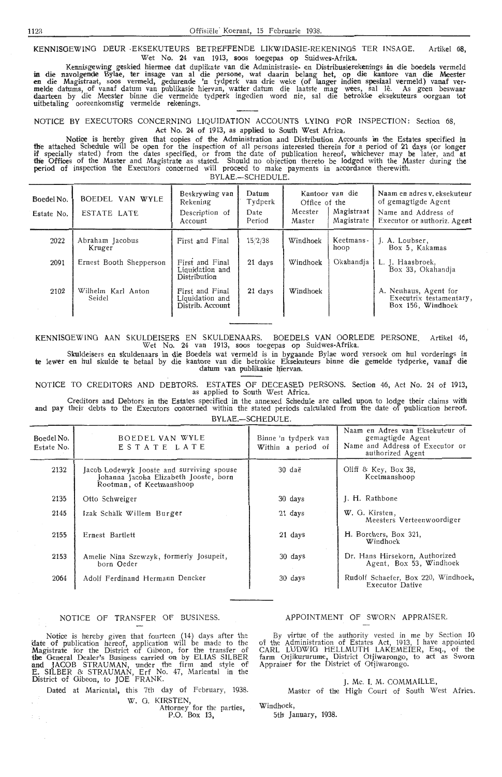**KENNISGEWING** DEUR -EKSEKUTEURS BETREFFENDE LIKWIDASIE-REKENINGS TER INSAOE. Artikel G8, Wet No. 24 van 1913, soos toegepas op Suidwes-Afrika.

Kennisgewing geskied hiermee dat duplikate van die Administrasie- en Distribusierekenings in die boedels vermeld in die navolgende Bylae, ter insage van al die persone, wat daarin belang het, op die kantore van die Meester<br>en die Magistraat, soos vermeld, gedurende 'n tydperk van drie weke (of langer indien spesiaal vermeld) vanaf ve melde datums, of vanaf datum van publikasie hiervan, watter datum die laatste mag wees, sal le. As geen beswaar daarteen by die Meester binne die vermelde tydperk ingedien word nie, sal die betrokke eksekuteurs oorgaan tot uitbetaling ooreenkomstig vermelde rekenings.

NOTICE BY EXECUTORS CONCERNING LIQUIDATION ACCOUNTS LYING FOR INSPECTION: Section 68, Act No. 24 of 1913, as applied to South West Africa.

Notice is hereby given that copies of the Administration and Distribution Accounts in the Estates specified in the attached Schedu1e will be open for the inspection of all persons interested therein for a period of 21 days (or longer if specially stated) from the dates specified, or from the date of publication hereof, whichever may be later, and at **th'e** Offices of the Master and Magistrate as stated. Should no objection thereto be Lodged with the Master during the **period of inspection the Executors concerned will proceed to make payments in accordance therewith.** 

BYLAE.-SCHEDULE.

| Boedel No.<br>Estate No. | BOEDEL VAN WYLE<br>ESTATE LATE | Beskrywing van<br>Rekening<br>Description of<br>Account | Datum<br>Tydperk<br>Date<br>Period | Office of the<br>Meester<br>Master | Kantoor van die<br>Magistraat<br>Magistrate | Naam en adres v. eksekuteur<br>of gemagtigde Agent<br>Name and Address of<br>Executor or authoriz. Agent |
|--------------------------|--------------------------------|---------------------------------------------------------|------------------------------------|------------------------------------|---------------------------------------------|----------------------------------------------------------------------------------------------------------|
| 2022                     | Abraham Jacobus<br>Kruger      | First and Final                                         | 15/2/38                            | Windhoek                           | Keetmans-<br>hoop                           | J. A. Loubser,<br>Box 5, Kakamas                                                                         |
| 2091                     | Ernest Booth Shepperson        | First and Final<br>Liquidation and<br>Distribution      | 21 days                            | Okahandia<br>Windhoek              |                                             | L. J. Haasbroek,<br>Box 33, Okahandia                                                                    |
| 2102                     | Wilhelm Karl Anton<br>Seidel   | First and Final<br>Liquidation and<br>Distrib. Account  | 21 days                            | Windhoek                           |                                             | A. Neuhaus, Agent for<br>Executrix testamentary,<br>Box 156, Windhoek                                    |

KENNISGEWING AAN SKULDEISERS EN SKULDENAARS. BOEDELS VAN OORLEDE PERSONE. Artikel 46, Wet No. 24 van 1913, soos toegepas op Suidwes-Afrika.

Skuldeisers en skuldenaars in die Boedels wat vermeld is in bygaande Bylae word versoek om hul vorderings in te lewer en hul skulde te betaal by die kantore van die betrokke Eksekuteurs binne die gemelde tydperke, vanaf die datum van publikasie hiervan.

NOTICE TO CREDITORS AND DEBTORS. ESTATES OF DECEASED PERSONS. Section 46, Act No. 24 of 1913, as applied to South West Africa.

Creditors and Debtors in the Estates specified in the annexed Schedule are called upon to lodge their claims with and pay their debts to the Executors concerned within the stated periods calculated from the date of publication hereof. BYLAE.-SCHEDULE.

| Boedel No.<br>Estate No. | BOEDEL VAN WYLE<br>ESTATE LATE                                                                                 | Binne 'n tydperk van<br>Within a period of | Naam en Adres van Eksekuteur of<br>gemagtigde Agent<br>Name and Address of Executor or<br>authorized Agent |
|--------------------------|----------------------------------------------------------------------------------------------------------------|--------------------------------------------|------------------------------------------------------------------------------------------------------------|
| 2132                     | Jacob Lodewyk Jooste and surviving spouse<br>Johanna Jacoba Elizabeth Jooste, born<br>Rootman, of Keetmanshoop | 30 daë                                     | Oliff & Key, Box 38,<br>Keetmanshoop                                                                       |
| 2135                     | Otto Schweiger                                                                                                 | 30 days                                    | J. H. Rathbone                                                                                             |
| 2145                     | Izak Schalk Willem Burger                                                                                      | 21 days                                    | W. G. Kirsten.<br>Meesters Verteenwoordiger                                                                |
| 2155                     | Ernest Bartlett                                                                                                | 21 days                                    | H. Borchers, Box 321,<br>Windhoek                                                                          |
| 2153                     | Amelie Nina Szewzyk, formerly Josupeit,<br>born Oeder                                                          | 30 days                                    | Dr. Hans Hirsekorn, Authorized<br>Agent, Box 53, Windhoek                                                  |
| 2064                     | Adolf Ferdinand Hermann Dencker                                                                                | 30 days                                    | Rudolf Schaefer, Box 220, Windhoek,<br>Executor Dative                                                     |

#### NOTICE OF TRANSFER OF BUSINESS.

Notice is hereby given that fourteen (14) days after the date of publication hereof, application will be made to the Magistrate for the District of Gibeon, for the transfer of **the** Oeneral Dealer's Business carri,ed on by ELIAS SILBER **and** JACOB STRAUMAN, under the firm and style of E. SILBER & STRAUMAN, Erf No. 47, Mariental in the District of Gibeon, to JOE FRANK.

Dated at Mariental, this 7th day of February, 1938. W. G. KIRSTEN,<br>Attorney for the parties,

P.O. Box 13,

#### APPOINTMENT OF SWORN APPRAISER.

By virtue of the authority vested in me by Section 10<br>the Administration of Estates Act, 1913, I have appointed of the Administration of Estates Act, 1913, I have appointed CARL LUDWIG HELLMUTH LAKEMEIER, Esq., of the farm Otjikururume, District Otjiwamngo, to act as Sworn Appraiser for the District of Otjiwarongo.

J. Mc. I. M. COMMAILLE,

Master of the High Court of South West Africa. Windhoek,

5th January, 1938.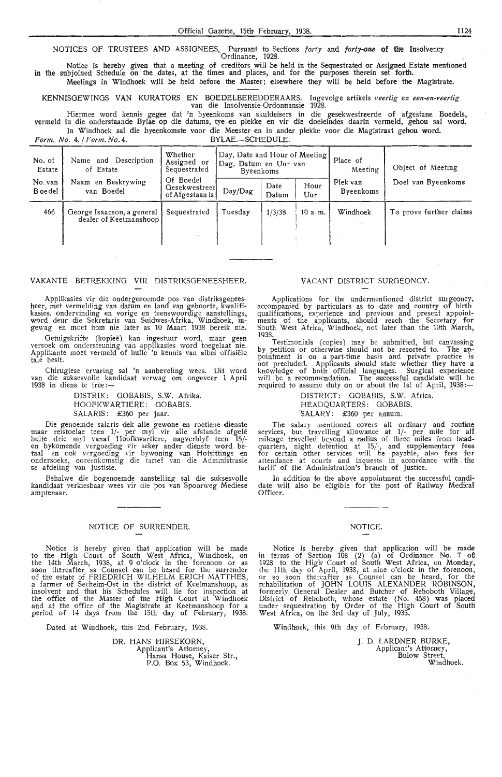NOTICES OF TRUSTEES **AND** ASSIGNEES, Pursuant to Sections *forty* and *forty-one* **of thie** Insolvency Ordinance, 1928.

Notice is hereby given that a meeting of creditors will be held in the Sequestrated or Ass(gned Estate mentioned in the subjoined Schedule on the dates, at the times and places, and for the purposes therein set forth.

Meetings in Windhoek will be held before the Master; elsewhere they will be held before the Magistrate.

KENNISOEWINOS VAN KURATORS EN BOEDELBEREDDERAARS. lngevolge artikels *veertig* en *een-en-veertig* van die Insolvensie-Ordon-nansie 1928. ·

Hiermee word kennis gegee dat 'n byeenkoms van skuldeisers in die gesekwestreerde of afgestane Boedels, vermeld in die onderstaande Bylae op die datums, tye en plekke en vir die doeleindes daarin vermeld, gehou sal word. In Windhoek sal die byeenkomste voor die Meester en in ander plekke voor die Magistraat gehou word.

Form. No. 4. / Form. No. 4. BYLAE.-SCHEDULE.

No. of Name and Description Whether  $\begin{bmatrix} Day, Date and Hour of Meeting  
Assigned or  $Dag, Datum en Uur van$$ No. of Name and Description Assigned or Dag, Datum en Uur van Sequestrated Sequestrated Byeenkoms Meeting Object of Meeting Name in Beskrywing Of Boedel Digital Contract of Meeting Name in Beskrywing of Boedel Digital Digi No. van Naam en Beskrywing | Of Boedel Boedel van Boedel (Gesekwestreer Day/Dag) 466 George Isaacson, a general Sequestrated Tuesday dealer of Keetmanshoop  $\overline{\mathsf{I}}$ Date Hour Piek van Doel van Byeenkoms<br>Datum Uur Byeenkoms Byeenkoms  $1/3/38$  | 10 a.m. Windhoek | To prove further claims ! I I '

#### VAKANTE BETREKKING VIR DISTRIKSOENEESHEER.

Applikasies vir die ondergenoemde pos van distriksgeneesheer, met vermelding van datum en land van geboorte, kwalifikasies. ondervinding en vorige en teenswoordige aanstellings, word deur die Sekretaris van Suidwes-Afrika,. Windhoek, ingewag en m-0et horn nie later as 10 Maart 1938 bereik nie.

Oetuigskrifie (kopiee) kan ingestuur word, maar geen versoek om ondersteuning van applikasies word toegelaat nie. Applikante moet vermeld of hulle 'n kennis van albei offisiele tale besit.

Chirugiese ervaring sal 'n aanbeveling wees. Dit word van die suksesvone kandidaat verwag om ongeveer 1 April 1938 in diens te tree: $-$ 

> DISTRIK: OOBABIS, S.W. Afrika. HOOFKWARTIERE: GOBABIS. SALARIS: £360 per jaar.

Die genoemde saiaris dek alle gewone en roetiene dienste maar reistoelae teen 1/- per myl vir alle afstande afg.ele buite drie myl vanaf Hoofkwartiere, nagverblyf teen 15/-<br>en bykomende vergoeding vir seker ander dienste word betaal en ook vergoeding vir bywoning van Hotsittings en<br>ondersoeke, ooreenkomstig die tarief van die Administrasie<br>se afdeling van Justisie.

Behalwe die bogenoemde aanstelling sal die suksesvolle kandidaat verkiesbaar wees vir die pos van Spoorweg Mediese amptenaar.

#### NOTICE OF SURRENDER.

Notice is hereby given that application will be made to the High Court of South West Africa, Windhoek, on the 14th March, 1938, at 9 o'dock in the forenoon or as soon thereafter as Counsel can be heard for the surrender of the estate of FRIEDRICH WILHELM ERICH MATTHES, a farmer of Seeheim-Ost in the district of Keetmanshoop, as insolvent and that his Schedules will lie for inspection at the office of the Master of the High Court at Windhoek and at the office of the Magistrate at Keetmanshoop for a period of 14 days from the 15th day of February, 1938.

Dated at Windhoek, this 2nd February, 1938.

DR. HANS HIRSEKORN, Applicant's Attorney, Hansa House, Kaiser Str., P.O. Box 53, Windhoek.

#### VACANT DISTRICT SURGEONCY.

Applications for *the* undermentioned district surgeoncy. accompanied by particulars as to date and country of birth qualifications, experience and previous and present appoint-<br>ments of the applicants, should reach the Secretary for South W,est Africa, Windhoek, not later than the 10th March, 1938.

Testimonials (copies) may be submitted, but canvassing by petition or otherwise should not be resorted to. The appointment is •on a part-time basis and private practice is not precluded. Applicants should state whether they have a<br>knowledge of both official languages. Surgical experience will be a recommendation. The successful candidate will be required to assume duty on or about the 1st of April, 1938:—

> DISTRICT: GOBABIS, S.W. Africa. HEADQUARTERS: OOBABIS. 'SALARY: £360 per annum.

The salary mentioned covers all ordinary and routine services, but travelling allowance at 1/- per mile for all mileage travelled beyond a radius of three miles from headquarters, night detention at 15/-, and supplementary fees for certain other services will be payable, also fees for attendance at courts and inquests in accordance with . the tariff of the Adminis'tration's branch of Justice.

In addition to the above appointment the successful candi· date will also be eligible for the post of Railway Medical Officer.

#### NOTICE.

Notice is hereby given that application will be made<br>in terms of Section 108 (2) (a) of Ordinance No. 7 of 1928 to the High' Court of South West Africa, on Monday, the 11th day of April, 1938, at nine o'clock in the forenoon, or so soon thereafter as Counsel can be heard, for the rehabilitation of JOHN LOUIS ALEXANDER ROBINSON, formerly General Dealer and Butcher of Rehoboth Village, District of Rehoboth, whose estate (No. 458) was placed under sequestration by Order of the High Court of South West Africa, on the 3rd day of July, 1935.

Windhoek, this 9th day of February, 1938.

J. D. LARDNER BURKE, Applicant's Attorney, Bulow Street, Windhoek.